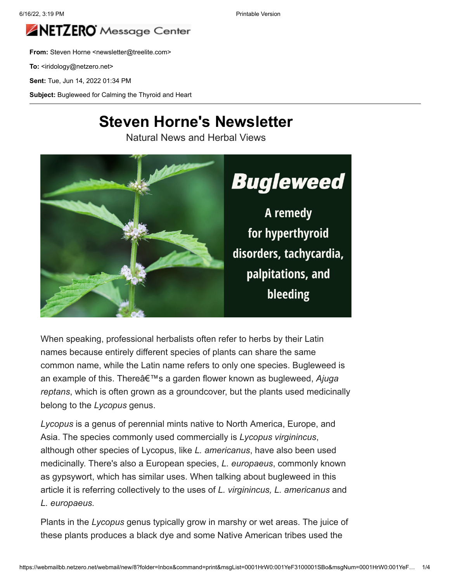

**From:** Steven Horne <newsletter@treelite.com>

To: <iridology@netzero.net>

**Sent:** Tue, Jun 14, 2022 01:34 PM

Subject: Bugleweed for Calming the Thyroid and Heart

#### **Steven Horne's Newsletter**

Natural News and Herbal Views



When speaking, professional herbalists often refer to herbs by their Latin names because entirely different species of plants can share the same common name, while the Latin name refers to only one species. Bugleweed is an example of this. Thereâ€<sup>™</sup>s a garden flower known as bugleweed, Ajuga *reptans*, which is often grown as a groundcover, but the plants used medicinally belong to the *Lycopus* genus.

*Lycopus* is a genus of perennial mints native to North America, Europe, and Asia. The species commonly used commercially is *Lycopus virginincus*, although other species of Lycopus, like *L. americanus*, have also been used medicinally. There's also a European species, *L. europaeus*, commonly known as gypsywort, which has similar uses. When talking about bugleweed in this article it is referring collectively to the uses of *L. virginincus, L. americanus* and *L. europaeus.*

Plants in the *Lycopus* genus typically grow in marshy or wet areas. The juice of these plants produces a black dye and some Native American tribes used the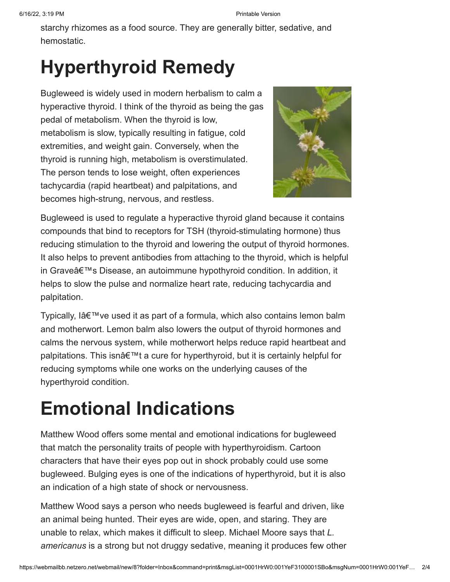starchy rhizomes as a food source. They are generally bitter, sedative, and hemostatic.

# **Hyperthyroid Remedy**

Bugleweed is widely used in modern herbalism to calm a hyperactive thyroid. I think of the thyroid as being the gas pedal of metabolism. When the thyroid is low, metabolism is slow, typically resulting in fatigue, cold extremities, and weight gain. Conversely, when the thyroid is running high, metabolism is overstimulated. The person tends to lose weight, often experiences tachycardia (rapid heartbeat) and palpitations, and becomes high-strung, nervous, and restless.



Bugleweed is used to regulate a hyperactive thyroid gland because it contains compounds that bind to receptors for TSH (thyroid-stimulating hormone) thus reducing stimulation to the thyroid and lowering the output of thyroid hormones. It also helps to prevent antibodies from attaching to the thyroid, which is helpful in Grave's Disease, an autoimmune hypothyroid condition. In addition, it helps to slow the pulse and normalize heart rate, reducing tachycardia and palpitation.

Typically, lâ $\epsilon$ <sup> $\mathsf{m}$ </sup>ve used it as part of a formula, which also contains lemon balm and motherwort. Lemon balm also lowers the output of thyroid hormones and calms the nervous system, while motherwort helps reduce rapid heartbeat and palpitations. This isn't a cure for hyperthyroid, but it is certainly helpful for reducing symptoms while one works on the underlying causes of the hyperthyroid condition.

# **Emotional Indications**

Matthew Wood offers some mental and emotional indications for bugleweed that match the personality traits of people with hyperthyroidism. Cartoon characters that have their eyes pop out in shock probably could use some bugleweed. Bulging eyes is one of the indications of hyperthyroid, but it is also an indication of a high state of shock or nervousness.

Matthew Wood says a person who needs bugleweed is fearful and driven, like an animal being hunted. Their eyes are wide, open, and staring. They are unable to relax, which makes it difficult to sleep. Michael Moore says that *L. americanus* is a strong but not druggy sedative, meaning it produces few other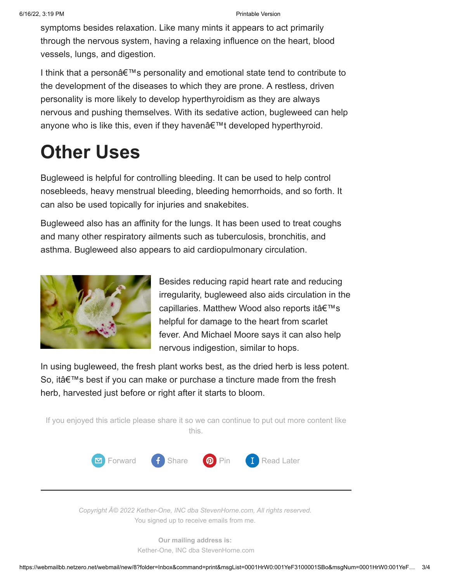symptoms besides relaxation. Like many mints it appears to act primarily through the nervous system, having a relaxing influence on the heart, blood vessels, lungs, and digestion.

I think that a person $\hat{\mathbf{a}} \in \mathbb{M}$ s personality and emotional state tend to contribute to the development of the diseases to which they are prone. A restless, driven personality is more likely to develop hyperthyroidism as they are always nervous and pushing themselves. With its sedative action, bugleweed can help anyone who is like this, even if they haven't developed hyperthyroid.

### **Other Uses**

Bugleweed is helpful for controlling bleeding. It can be used to help control nosebleeds, heavy menstrual bleeding, bleeding hemorrhoids, and so forth. It can also be used topically for injuries and snakebites.

Bugleweed also has an affinity for the lungs. It has been used to treat coughs and many other respiratory ailments such as tuberculosis, bronchitis, and asthma. Bugleweed also appears to aid cardiopulmonary circulation.



Besides reducing rapid heart rate and reducing irregularity, bugleweed also aids circulation in the capillaries. Matthew Wood also reports it's helpful for damage to the heart from scarlet fever. And Michael Moore says it can also help nervous indigestion, similar to hops.

In using bugleweed, the fresh plant works best, as the dried herb is less potent. So, it's best if you can make or purchase a tincture made from the fresh herb, harvested just before or right after it starts to bloom.



*Copyright © 2022 Kether-One, INC dba StevenHorne.com, All rights reserved.* You signed up to receive emails from me.

> **Our mailing address is:** Kether-One, INC dba StevenHorne.com